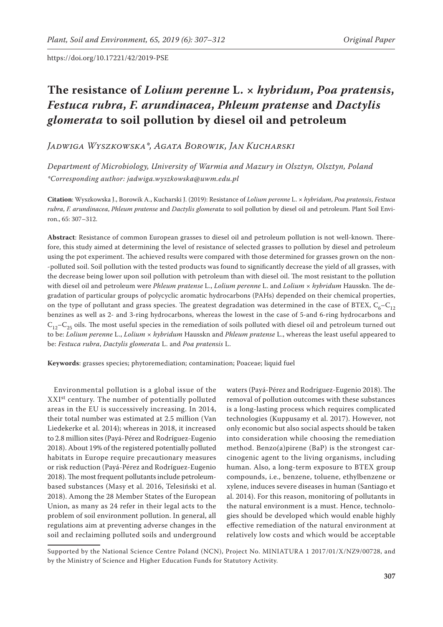# **The resistance of** *Lolium perenne* **L. ×** *hybridum***,** *Poa pratensis***,**  *Festuca rubra***,** *F. arundinacea***,** *Phleum pratense* **and** *Dactylis glomerata* **to soil pollution by diesel oil and petroleum**

*Jadwiga Wyszkowska\*, Agata Borowik, Jan Kucharski*

*Department of Microbiology, University of Warmia and Mazury in Olsztyn, Olsztyn, Poland \*Corresponding author: jadwiga.wyszkowska@uwm.edu.pl*

**Citation**: Wyszkowska J., Borowik A., Kucharski J. (2019): Resistance of *Lolium perenne* L. × *hybridum*, *Poa pratensis*, *Festuca rubra*, *F. arundinacea*, *Phleum pratense* and *Dactylis glomerata* to soil pollution by diesel oil and petroleum. Plant Soil Environ., 65: 307–312.

**Abstract**: Resistance of common European grasses to diesel oil and petroleum pollution is not well-known. Therefore, this study aimed at determining the level of resistance of selected grasses to pollution by diesel and petroleum using the pot experiment. The achieved results were compared with those determined for grasses grown on the non- -polluted soil. Soil pollution with the tested products was found to significantly decrease the yield of all grasses, with the decrease being lower upon soil pollution with petroleum than with diesel oil. The most resistant to the pollution with diesel oil and petroleum were *Phleum pratense* L., *Lolium perenne* L. and *Lolium × hybridum* Hausskn. The degradation of particular groups of polycyclic aromatic hydrocarbons (PAHs) depended on their chemical properties, on the type of pollutant and grass species. The greatest degradation was determined in the case of BTEX,  $C_6 - C_{12}$ benzines as well as 2- and 3-ring hydrocarbons, whereas the lowest in the case of 5-and 6-ring hydrocarbons and  $C_{12}-C_{25}$  oils. The most useful species in the remediation of soils polluted with diesel oil and petroleum turned out to be: *Lolium perenne* L., *Lolium × hybridum* Hausskn and *Phleum pratense* L., whereas the least useful appeared to be: *Festuca rubra*, *Dactylis glomerata* L. and *Poa pratensis* L.

**Keywords**: grasses species; phytoremediation; contamination; Poaceae; liquid fuel

Environmental pollution is a global issue of the XXIst century. The number of potentially polluted areas in the EU is successively increasing. In 2014, their total number was estimated at 2.5 million (Van Liedekerke et al. 2014); whereas in 2018, it increased to 2.8 million sites (Payá-Pérez and Rodríguez-Eugenio 2018). About 19% of the registered potentially polluted habitats in Europe require precautionary measures or risk reduction (Payá-Pérez and Rodríguez-Eugenio 2018). The most frequent pollutants include petroleumbased substances (Masy et al. 2016, Telesiński et al. 2018). Among the 28 Member States of the European Union, as many as 24 refer in their legal acts to the problem of soil environment pollution. In general, all regulations aim at preventing adverse changes in the soil and reclaiming polluted soils and underground

waters (Payá-Pérez and Rodríguez-Eugenio 2018). The removal of pollution outcomes with these substances is a long-lasting process which requires complicated technologies (Kuppusamy et al. 2017). However, not only economic but also social aspects should be taken into consideration while choosing the remediation method. Benzo(a)pirene (BaP) is the strongest carcinogenic agent to the living organisms, including human. Also, a long-term exposure to BTEX group compounds, i.e., benzene, toluene, ethylbenzene or xylene, induces severe diseases in human (Santiago et al. 2014). For this reason, monitoring of pollutants in the natural environment is a must. Hence, technologies should be developed which would enable highly effective remediation of the natural environment at relatively low costs and which would be acceptable

Supported by the National Science Centre Poland (NCN), Project No. MINIATURA 1 2017/01/X/NZ9/00728, and by the Ministry of Science and Higher Education Funds for Statutory Activity.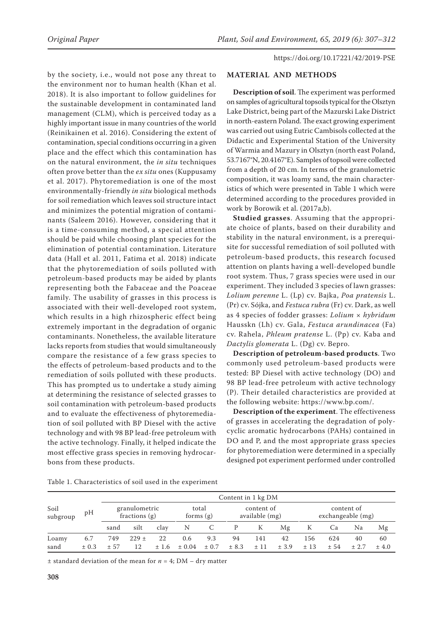by the society, i.e., would not pose any threat to the environment nor to human health (Khan et al. 2018). It is also important to follow guidelines for the sustainable development in contaminated land management (CLM), which is perceived today as a highly important issue in many countries of the world (Reinikainen et al. 2016). Considering the extent of contamination, special conditions occurring in a given place and the effect which this contamination has on the natural environment, the *in situ* techniques often prove better than the *ex situ* ones (Kuppusamy et al. 2017). Phytoremediation is one of the most environmentally-friendly *in situ* biological methods for soil remediation which leaves soil structure intact and minimizes the potential migration of contaminants (Saleem 2016). However, considering that it is a time-consuming method, a special attention should be paid while choosing plant species for the elimination of potential contamination. Literature data (Hall et al. 2011, Fatima et al. 2018) indicate that the phytoremediation of soils polluted with petroleum-based products may be aided by plants representing both the Fabaceae and the Poaceae family. The usability of grasses in this process is associated with their well-developed root system, which results in a high rhizospheric effect being extremely important in the degradation of organic contaminants. Nonetheless, the available literature lacks reports from studies that would simultaneously compare the resistance of a few grass species to the effects of petroleum-based products and to the remediation of soils polluted with these products. This has prompted us to undertake a study aiming at determining the resistance of selected grasses to soil contamination with petroleum-based products and to evaluate the effectiveness of phytoremediation of soil polluted with BP Diesel with the active technology and with 98 BP lead-free petroleum with the active technology. Finally, it helped indicate the most effective grass species in removing hydrocarbons from these products.

## **MATERIAL AND METHODS**

**Description of soil**. The experiment was performed on samples of agricultural topsoils typical for the Olsztyn Lake District, being part of the Mazurski Lake District in north-eastern Poland. The exact growing experiment was carried out using Eutric Cambisols collected at the Didactic and Experimental Station of the University of Warmia and Mazury in Olsztyn (north east Poland, 53.7167°N, 20.4167°E). Samples of topsoil were collected from a depth of 20 cm. In terms of the granulometric composition, it was loamy sand, the main characteristics of which were presented in Table 1 which were determined according to the procedures provided in work by Borowik et al. (2017a,b).

**Studied grasses**. Assuming that the appropriate choice of plants, based on their durability and stability in the natural environment, is a prerequisite for successful remediation of soil polluted with petroleum-based products, this research focused attention on plants having a well-developed bundle root system. Thus, 7 grass species were used in our experiment. They included 3 species of lawn grasses: *Lolium perenne* L. (Lp) cv. Bajka, *Poa pratensis* L. (Pr) cv. Sójka, and *Festuca rubra* (Fr) cv. Dark, as well as 4 species of fodder grasses: *Lolium × hybridum* Hausskn (Lh) cv. Gala, *Festuca arundinacea* (Fa) cv. Rahela, *Phleum pratense* L. (Pp) cv. Kaba and *Dactylis glomerata* L. (Dg) cv. Bepro.

**Description of petroleum-based products**. Two commonly used petroleum-based products were tested: BP Diesel with active technology (DO) and 98 BP lead-free petroleum with active technology (P). Their detailed characteristics are provided at the following website: https://www.bp.com/.

**Description of the experiment**. The effectiveness of grasses in accelerating the degradation of polycyclic aromatic hydrocarbons (PAHs) contained in DO and P, and the most appropriate grass species for phytoremediation were determined in a specially designed pot experiment performed under controlled

|                  | pН    | Content in 1 kg DM               |         |                      |            |                              |       |     |                                 |     |      |       |       |
|------------------|-------|----------------------------------|---------|----------------------|------------|------------------------------|-------|-----|---------------------------------|-----|------|-------|-------|
| Soil<br>subgroup |       | granulometric<br>fractions $(g)$ |         | total<br>forms $(g)$ |            | content of<br>available (mg) |       |     | content of<br>exchangeable (mg) |     |      |       |       |
|                  |       | sand                             | silt    | clay                 | Ν          |                              |       | К   | Mg                              | ĸ   | Ca   | Na    | Mg    |
| Loamy            | 6.7   | 749                              | $229 +$ | 22                   | 0.6        | 9.3                          | 94    | 141 | 42                              | 156 | 624  | 40    | 60    |
| sand             | ± 0.3 | $+57$                            | 12      | ±1.6                 | $\pm 0.04$ | $\pm$ 0.7                    | ± 8.3 | ±11 | ± 3.9                           | ±13 | ± 54 | ± 2.7 | ± 4.0 |

Table 1. Characteristics of soil used in the experiment

 $\pm$  standard deviation of the mean for  $n = 4$ ; DM – dry matter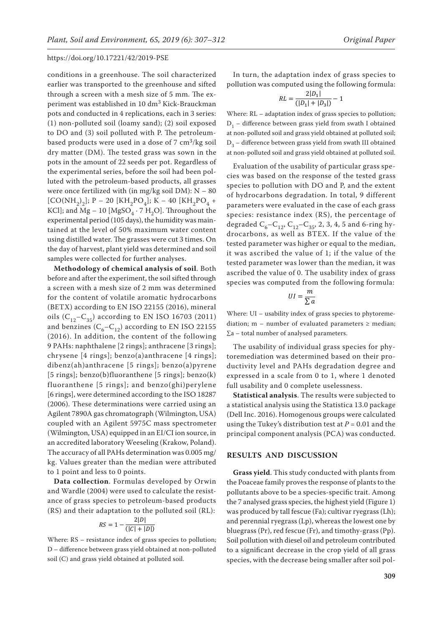conditions in a greenhouse. The soil characterized earlier was transported to the greenhouse and sifted through a screen with a mesh size of 5 mm. The experiment was established in 10 dm3 Kick-Brauckman pots and conducted in 4 replications, each in 3 series: (1) non-polluted soil (loamy sand); (2) soil exposed to DO and (3) soil polluted with P. The petroleumbased products were used in a dose of  $7 \text{ cm}^3/\text{kg}$  soil dry matter (DM). The tested grass was sown in the pots in the amount of 22 seeds per pot. Regardless of the experimental series, before the soil had been polluted with the petroleum-based products, all grasses were once fertilized with (in mg/kg soil  $DM$ ):  $N - 80$  $[CO(NH<sub>2</sub>)<sub>2</sub>]; P - 20 [KH<sub>2</sub>PO<sub>4</sub>]; K - 40 [KH<sub>2</sub>PO<sub>4</sub>] +$ KCl]; and Mg – 10 [MgSO<sub>4</sub>  $\cdot$  7 H<sub>2</sub>O]. Throughout the experimental period (105 days), the humidity was maintained at the level of 50% maximum water content using distilled water. The grasses were cut 3 times. On the day of harvest, plant yield was determined and soil samples were collected for further analyses.

**Methodology of chemical analysis of soil**. Both before and after the experiment, the soil sifted through a screen with a mesh size of 2 mm was determined for the content of volatile aromatic hydrocarbons (BETX) according to EN ISO 22155 (2016), mineral oils  $(C_{12}-C_{35})$  according to EN ISO 16703 (2011) and benzines  $(C_6 - C_{12})$  according to EN ISO 22155 (2016). In addition, the content of the following 9 PAHs: naphthalene [2 rings]; anthracene [3 rings]; chrysene [4 rings]; benzo(a)anthracene [4 rings]; dibenz(ah)anthracene [5 rings]; benzo(a)pyrene [5 rings]; benzo(b)fluoranthene [5 rings]; benzo(k) fluoranthene [5 rings]; and benzo(ghi)perylene [6 rings], were determined according to the ISO 18287 (2006). These determinations were carried using an Agilent 7890A gas chromatograph (Wilmington, USA) coupled with an Agilent 5975C mass spectrometer (Wilmington, USA) equipped in an EI/CI ion source, in an accredited laboratory Weeseling (Krakow, Poland). The accuracy of all PAHs determination was 0.005 mg/ kg. Values greater than the median were attributed to 1 point and less to 0 points.

**Data collection**. Formulas developed by Orwin and Wardle (2004) were used to calculate the resistance of grass species to petroleum-based products (RS) and their adaptation to the polluted soil (RL):

$$
RS = 1 - \frac{2|D|}{(|C| + |D|)}
$$

Where: RS – resistance index of grass species to pollution; D – difference between grass yield obtained at non-polluted soil (C) and grass yield obtained at polluted soil.

In turn, the adaptation index of grass species to pollution was computed using the following formula:

$$
RL = \frac{2|D_1|}{(|D_1| + |D_3|)} - 1
$$

Where: RL – adaptation index of grass species to pollution;  $D_1$  – difference between grass yield from swath I obtained at non-polluted soil and grass yield obtained at polluted soil;  $D_3$  – difference between grass yield from swath III obtained at non-polluted soil and grass yield obtained at polluted soil.

Evaluation of the usability of particular grass species was based on the response of the tested grass species to pollution with DO and P, and the extent of hydrocarbons degradation. In total, 9 different parameters were evaluated in the case of each grass species: resistance index (RS), the percentage of degraded  $C_6 - C_{12}$ ,  $C_{12} - C_{35}$ , 2, 3, 4, 5 and 6-ring hydrocarbons, as well as BTEX. If the value of the tested parameter was higher or equal to the median, it was ascribed the value of 1; if the value of the tested parameter was lower than the median, it was ascribed the value of 0. The usability index of grass species was computed from the following formula:

$$
UI = \frac{m}{\sum a}
$$

Where: UI – usability index of grass species to phytoremediation; m – number of evaluated parameters  $\geq$  median; ∑a – total number of analysed parameters.

The usability of individual grass species for phytoremediation was determined based on their productivity level and PAHs degradation degree and expressed in a scale from 0 to 1, where 1 denoted full usability and 0 complete uselessness.

**Statistical analysis**. The results were subjected to a statistical analysis using the Statistica 13.0 package (Dell Inc. 2016). Homogenous groups were calculated using the Tukey's distribution test at  $P = 0.01$  and the principal component analysis (PCA) was conducted.

#### **RESULTS AND DISCUSSION**

**Grass yield**. This study conducted with plants from the Poaceae family proves the response of plants to the pollutants above to be a species-specific trait. Among the 7 analysed grass species, the highest yield (Figure 1) was produced by tall fescue (Fa); cultivar ryegrass (Lh); and perennial ryegrass (Lp), whereas the lowest one by bluegrass (Pr), red fescue (Fr), and timothy-grass (Pp). Soil pollution with diesel oil and petroleum contributed to a significant decrease in the crop yield of all grass species, with the decrease being smaller after soil pol-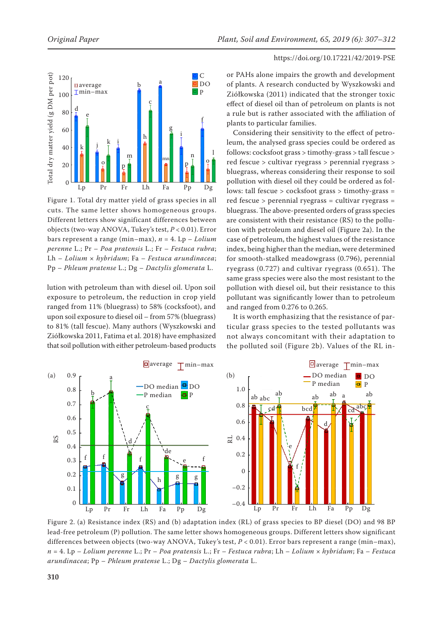



Figure 1. Total dry matter yield of grass species in all cuts. The same letter shows homogeneous groups. Different letters show significant differences between objects (two-way ANOVA, Tukey's test, *P* < 0.01). Error bars represent a range (min–max), *n* = 4. Lp – *Lolium perenne* L.; Pr – *Poa pratensis* L.; Fr – *Festuca rubra*; Lh – *Lolium* × *hybridum*; Fa – *Festuca arundinacea*; Pp – *Phleum pratense* L.; Dg – *Dactylis glomerata* L.

lution with petroleum than with diesel oil. Upon soil exposure to petroleum, the reduction in crop yield ranged from 11% (bluegrass) to 58% (cocksfoot), and upon soil exposure to diesel oil – from 57% (bluegrass) to 81% (tall fescue). Many authors (Wyszkowski and Ziółkowska 2011, Fatima et al. 2018) have emphasized that soil pollution with either petroleum-based products or PAHs alone impairs the growth and development of plants. A research conducted by Wyszkowski and Ziółkowska (2011) indicated that the stronger toxic effect of diesel oil than of petroleum on plants is not a rule but is rather associated with the affiliation of plants to particular families.

Considering their sensitivity to the effect of petroleum, the analysed grass species could be ordered as follows: cocksfoot grass > timothy-grass > tall fescue > red fescue > cultivar ryegrass > perennial ryegrass > bluegrass, whereas considering their response to soil pollution with diesel oil they could be ordered as follows: tall fescue > cocksfoot grass > timothy-grass = red fescue > perennial ryegrass = cultivar ryegrass = bluegrass. The above-presented orders of grass species are consistent with their resistance (RS) to the pollution with petroleum and diesel oil (Figure 2a). In the case of petroleum, the highest values of the resistance index, being higher than the median, were determined for smooth-stalked meadowgrass (0.796), perennial ryegrass (0.727) and cultivar ryegrass (0.651). The same grass species were also the most resistant to the pollution with diesel oil, but their resistance to this pollutant was significantly lower than to petroleum and ranged from 0.276 to 0.265.

It is worth emphasizing that the resistance of particular grass species to the tested pollutants was not always concomitant with their adaptation to the polluted soil (Figure 2b). Values of the RL in-



Figure 2. (a) Resistance index (RS) and (b) adaptation index (RL) of grass species to BP diesel (DO) and 98 BP lead-free petroleum (P) pollution. The same letter shows homogeneous groups. Different letters show significant differences between objects (two-way ANOVA, Tukey's test, *P* < 0.01). Error bars represent a range (min–max), *n* = 4. Lp – *Lolium perenne* L.; Pr – *Poa pratensis* L.; Fr – *Festuca rubra*; Lh – *Lolium* × *hybridum*; Fa – *Festuca*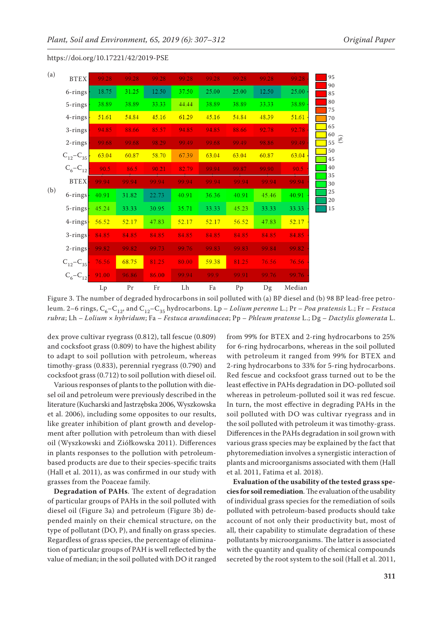|     |                           | $L_{p}$ | Pr    | Fr    | Lh    | Fa    | Pp    | Dg    | Median |                                |
|-----|---------------------------|---------|-------|-------|-------|-------|-------|-------|--------|--------------------------------|
|     | $C_6 - C_{12}$            | 91.00   | 96.86 | 86.00 | 99.94 | 99.9  | 99.91 | 99.76 | 99.76  |                                |
| (b) | $C_{12} - C_{35}$         | 76.56   | 68.75 | 81.25 | 80.00 | 59.38 | 81.25 | 76.56 | 76.56  |                                |
|     | $2$ -rings                | 99.82   | 99.82 | 99.73 | 99.76 | 99.83 | 99.83 | 99.84 | 99.82  |                                |
|     | $3 - rings$               | 84.85   | 84.85 | 84.85 | 84.85 | 84.85 | 84.85 | 84.85 | 84.85  |                                |
|     | $4$ -rings $\vdash$       | 56.52   | 52.17 | 47.83 | 52.17 | 52.17 | 56.52 | 47.83 | 52.17  |                                |
|     | $5 - rings$               | 45.24   | 33.33 | 30.95 | 35.71 | 33.33 | 45.23 | 33.33 | 33.33  | 15                             |
|     | $6$ -rings $\overline{ }$ | 40.91   | 31.82 | 22.73 | 40.91 | 36.36 | 40.91 | 45.46 | 40.91  | 25<br>20                       |
|     | <b>BTEX</b>               | 99.94   | 99.94 | 99.94 | 99.94 | 99.94 | 99.94 | 99.94 | 99.94  | 35<br>30                       |
|     | $C_{6} - C_{12}$          | 90.5    | 86.5  | 90.21 | 82.79 | 99.94 | 99.87 | 99.90 | 90.5   | $(\%)$<br>55<br>50<br>45<br>40 |
|     | $C_{12} - C_{35}$         | 63.04   | 60.87 | 58.70 | 67.39 | 63.04 | 63.04 | 60.87 | 63.04  |                                |
|     | $2-rings$                 | 99.68   | 99.68 | 98.29 | 99.49 | 99.68 | 99.49 | 98.86 | 99.49  |                                |
|     | $3 - rings$               | 94.85   | 88.66 | 85.57 | 94.85 | 94.85 | 88.66 | 92.78 | 92.78  | 65<br>60                       |
|     | $4 - rings$               | 51.61   | 54.84 | 45.16 | 61.29 | 45.16 | 54.84 | 48.39 | 51.61  | 75<br>70                       |
|     | 5-rings                   | 38.89   | 38.89 | 33.33 | 44.44 | 38.89 | 38.89 | 33.33 | 38.89  | 80                             |
|     | $6$ -rings                | 18.75   | 31.25 | 12.50 | 37.50 | 25.00 | 25.00 | 12.50 | 25.00  | 90<br>85                       |
| (a) | <b>BTEX</b>               | 99.28   | 99.28 | 99.28 | 99.28 | 99.28 | 99.28 | 99.28 | 99.28  | 95                             |

Figure 3. The number of degraded hydrocarbons in soil polluted with (a) BP diesel and (b) 98 BP lead-free petroleum. 2–6 rings, C<sub>6</sub>–C<sub>12</sub>, and C<sub>12</sub>–C<sub>35</sub> hydrocarbons. Lp – *Lolium perenne* L.; Pr – *Poa pratensis* L.; Fr – *Festuca rubra*; Lh – *Lolium* × *hybridum*; Fa – *Festuca arundinacea*; Pp – *Phleum pratense* L.; Dg – *Dactylis glomerata* L.

dex prove cultivar ryegrass (0.812), tall fescue (0.809) and cocksfoot grass (0.809) to have the highest ability to adapt to soil pollution with petroleum, whereas timothy-grass (0.833), perennial ryegrass (0.790) and cocksfoot grass (0.712) to soil pollution with diesel oil.

Various responses of plants to the pollution with diesel oil and petroleum were previously described in the literature (Kucharski and Jastrzębska 2006, Wyszkowska et al. 2006), including some opposites to our results, like greater inhibition of plant growth and development after pollution with petroleum than with diesel oil (Wyszkowski and Ziółkowska 2011). Differences in plants responses to the pollution with petroleumbased products are due to their species-specific traits (Hall et al. 2011), as was confirmed in our study with grasses from the Poaceae family.

**Degradation of PAHs**. The extent of degradation of particular groups of PAHs in the soil polluted with diesel oil (Figure 3a) and petroleum (Figure 3b) depended mainly on their chemical structure, on the type of pollutant (DO, P), and finally on grass species. Regardless of grass species, the percentage of elimination of particular groups of PAH is well reflected by the value of median; in the soil polluted with DO it ranged from 99% for BTEX and 2-ring hydrocarbons to 25% for 6-ring hydrocarbons, whereas in the soil polluted with petroleum it ranged from 99% for BTEX and 2-ring hydrocarbons to 33% for 5-ring hydrocarbons. Red fescue and cocksfoot grass turned out to be the least effective in PAHs degradation in DO-polluted soil whereas in petroleum-polluted soil it was red fescue. In turn, the most effective in degrading PAHs in the soil polluted with DO was cultivar ryegrass and in the soil polluted with petroleum it was timothy-grass. Differences in the PAHs degradation in soil grown with various grass species may be explained by the fact that phytoremediation involves a synergistic interaction of plants and microorganisms associated with them (Hall et al. 2011, Fatima et al. 2018).

**Evaluation of the usability of the tested grass species for soil remediation**. The evaluation of the usability of individual grass species for the remediation of soils polluted with petroleum-based products should take account of not only their productivity but, most of all, their capability to stimulate degradation of these pollutants by microorganisms. The latter is associated with the quantity and quality of chemical compounds secreted by the root system to the soil (Hall et al. 2011,